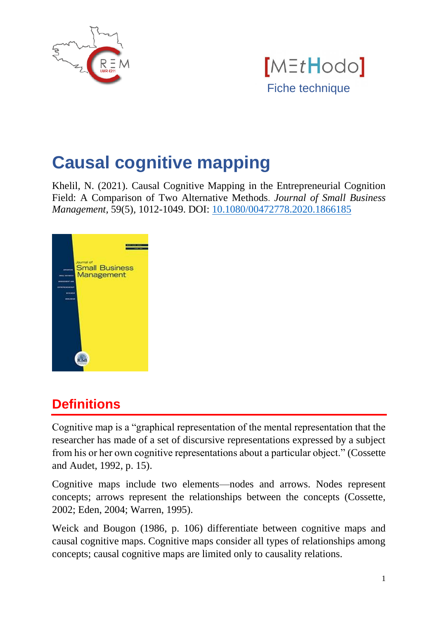



# **Causal cognitive mapping**

Khelil, N. (2021). Causal Cognitive Mapping in the Entrepreneurial Cognition Field: A Comparison of Two Alternative Methods. *Journal of Small Business Management,* 59(5)*,* 1012-1049. DOI: [10.1080/00472778.2020.1866185](https://doi.org/10.1080/00472778.2020.1866185)



# **Definitions**

Cognitive map is a "graphical representation of the mental representation that the researcher has made of a set of discursive representations expressed by a subject from his or her own cognitive representations about a particular object." (Cossette and Audet, 1992, p. 15).

Cognitive maps include two elements—nodes and arrows. Nodes represent concepts; arrows represent the relationships between the concepts (Cossette, 2002; Eden, 2004; Warren, 1995).

Weick and Bougon (1986, p. 106) differentiate between cognitive maps and causal cognitive maps. Cognitive maps consider all types of relationships among concepts; causal cognitive maps are limited only to causality relations.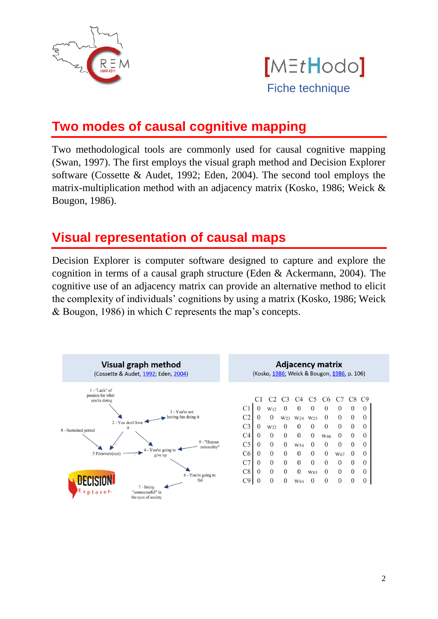



## **Two modes of causal cognitive mapping**

Two methodological tools are commonly used for causal cognitive mapping (Swan, 1997). The first employs the visual graph method and Decision Explorer software (Cossette & Audet, 1992; Eden, 2004). The second tool employs the matrix-multiplication method with an adjacency matrix (Kosko, 1986; Weick & Bougon, 1986).

#### **Visual representation of causal maps**

Decision Explorer is computer software designed to capture and explore the cognition in terms of a causal graph structure (Eden & Ackermann, 2004). The cognitive use of an adjacency matrix can provide an alternative method to elicit the complexity of individuals' cognitions by using a matrix (Kosko, 1986; Weick & Bougon, 1986) in which C represents the map's concepts.

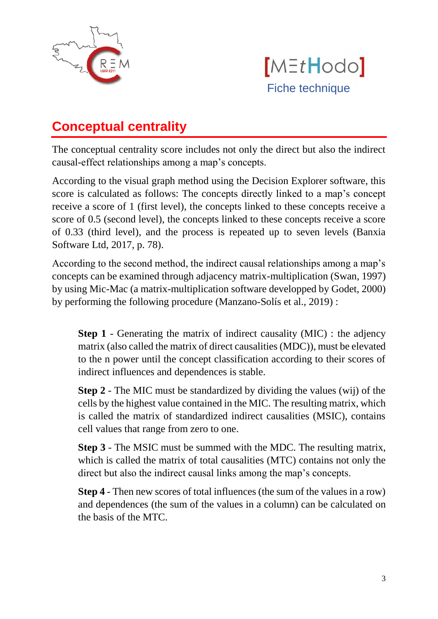



# **Conceptual centrality**

The conceptual centrality score includes not only the direct but also the indirect causal-effect relationships among a map's concepts.

According to the visual graph method using the Decision Explorer software, this score is calculated as follows: The concepts directly linked to a map's concept receive a score of 1 (first level), the concepts linked to these concepts receive a score of 0.5 (second level), the concepts linked to these concepts receive a score of 0.33 (third level), and the process is repeated up to seven levels (Banxia Software Ltd, 2017, p. 78).

According to the second method, the indirect causal relationships among a map's concepts can be examined through adjacency matrix-multiplication (Swan, 1997) by using Mic-Mac (a matrix-multiplication software developped by Godet, 2000) by performing the following procedure (Manzano-Solís et al., 2019) :

**Step 1** - Generating the matrix of indirect causality (MIC) : the adjency matrix (also called the matrix of direct causalities (MDC)), must be elevated to the n power until the concept classification according to their scores of indirect influences and dependences is stable.

**Step 2** - The MIC must be standardized by dividing the values (wij) of the cells by the highest value contained in the MIC. The resulting matrix, which is called the matrix of standardized indirect causalities (MSIC), contains cell values that range from zero to one.

**Step 3** - The MSIC must be summed with the MDC. The resulting matrix, which is called the matrix of total causalities (MTC) contains not only the direct but also the indirect causal links among the map's concepts.

**Step 4** - Then new scores of total influences (the sum of the values in a row) and dependences (the sum of the values in a column) can be calculated on the basis of the MTC.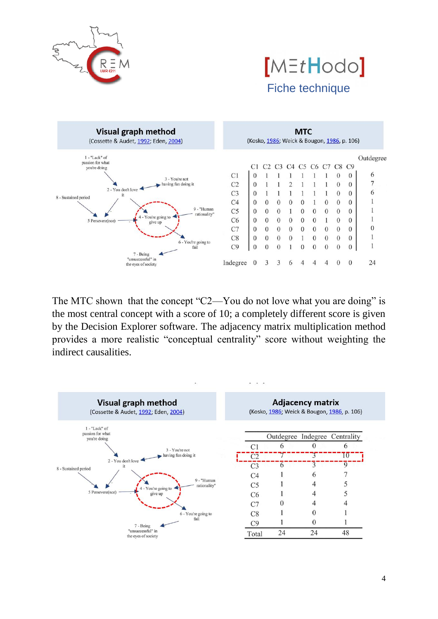





The MTC shown that the concept "C2—You do not love what you are doing" is the most central concept with a score of 10; a completely different score is given by the Decision Explorer software. The adjacency matrix multiplication method provides a more realistic "conceptual centrality" score without weighting the indirect causalities.

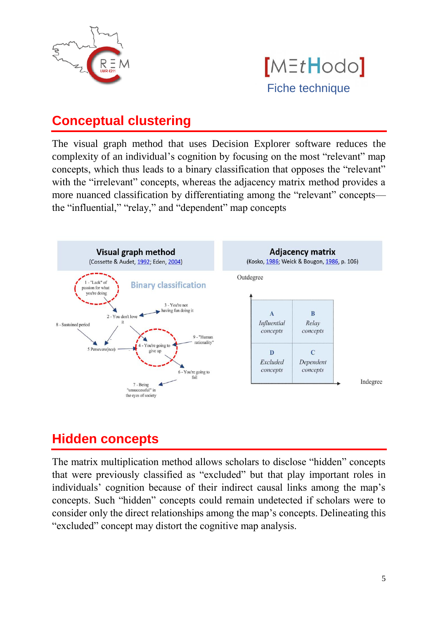



### **Conceptual clustering**

The visual graph method that uses Decision Explorer software reduces the complexity of an individual's cognition by focusing on the most "relevant" map concepts, which thus leads to a binary classification that opposes the "relevant" with the "irrelevant" concepts, whereas the adjacency matrix method provides a more nuanced classification by differentiating among the "relevant" concepts the "influential," "relay," and "dependent" map concepts



## **Hidden concepts**

The matrix multiplication method allows scholars to disclose "hidden" concepts that were previously classified as "excluded" but that play important roles in individuals' cognition because of their indirect causal links among the map's concepts. Such "hidden" concepts could remain undetected if scholars were to consider only the direct relationships among the map's concepts. Delineating this "excluded" concept may distort the cognitive map analysis.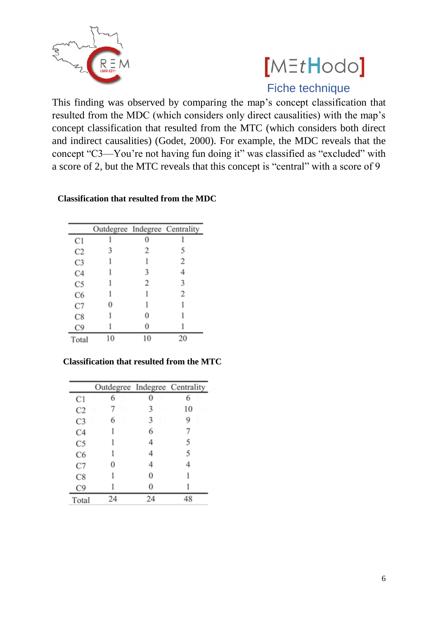

# $[MEtHodo]$ Fiche technique

This finding was observed by comparing the map's concept classification that resulted from the MDC (which considers only direct causalities) with the map's concept classification that resulted from the MTC (which considers both direct and indirect causalities) (Godet, 2000). For example, the MDC reveals that the concept "C3—You're not having fun doing it" was classified as "excluded" with a score of 2, but the MTC reveals that this concept is "central" with a score of 9

|                | Outdegree Indegree Centrality |   |    |
|----------------|-------------------------------|---|----|
| C1             |                               |   |    |
| C2             |                               |   |    |
| C <sub>3</sub> |                               |   | 2  |
| C <sub>4</sub> |                               |   |    |
| C5             |                               | 2 |    |
| C6             |                               |   |    |
| C7             |                               |   |    |
| C8             |                               |   |    |
| C9             |                               |   |    |
| Total          |                               | 0 | 20 |

#### **Classification that resulted from the MDC**

#### **Classification that resulted from the MTC**

|                | Outdegree Indegree Centrality |        |    |
|----------------|-------------------------------|--------|----|
| C1             | 6                             |        |    |
| C <sub>2</sub> |                               |        | 10 |
| C3             | 6                             | 3<br>5 | g  |
| C4             |                               | 6      |    |
| Ċ5             |                               |        | 5  |
| C6             |                               |        | 5  |
| C7             |                               |        |    |
| C8             |                               | 0      |    |
| C9             |                               |        |    |
| Total          | 24                            | 24     |    |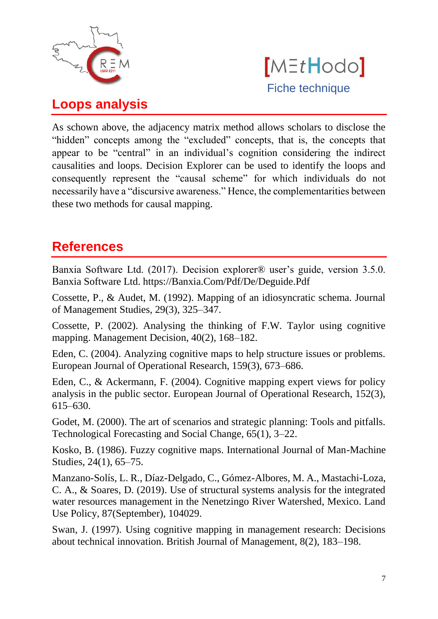



### **Loops analysis**

As schown above, the adjacency matrix method allows scholars to disclose the "hidden" concepts among the "excluded" concepts, that is, the concepts that appear to be "central" in an individual's cognition considering the indirect causalities and loops. Decision Explorer can be used to identify the loops and consequently represent the "causal scheme" for which individuals do not necessarily have a "discursive awareness." Hence, the complementarities between these two methods for causal mapping.

#### **References**

Banxia Software Ltd. (2017). Decision explorer® user's guide, version 3.5.0. Banxia Software Ltd. https://Banxia.Com/Pdf/De/Deguide.Pdf

Cossette, P., & Audet, M. (1992). Mapping of an idiosyncratic schema. Journal of Management Studies, 29(3), 325–347.

Cossette, P. (2002). Analysing the thinking of F.W. Taylor using cognitive mapping. Management Decision, 40(2), 168–182.

Eden, C. (2004). Analyzing cognitive maps to help structure issues or problems. European Journal of Operational Research, 159(3), 673–686.

Eden, C., & Ackermann, F. (2004). Cognitive mapping expert views for policy analysis in the public sector. European Journal of Operational Research, 152(3), 615–630.

Godet, M. (2000). The art of scenarios and strategic planning: Tools and pitfalls. Technological Forecasting and Social Change, 65(1), 3–22.

Kosko, B. (1986). Fuzzy cognitive maps. International Journal of Man-Machine Studies, 24(1), 65–75.

Manzano-Solís, L. R., Díaz-Delgado, C., Gómez-Albores, M. A., Mastachi-Loza, C. A., & Soares, D. (2019). Use of structural systems analysis for the integrated water resources management in the Nenetzingo River Watershed, Mexico. Land Use Policy, 87(September), 104029.

Swan, J. (1997). Using cognitive mapping in management research: Decisions about technical innovation. British Journal of Management, 8(2), 183–198.